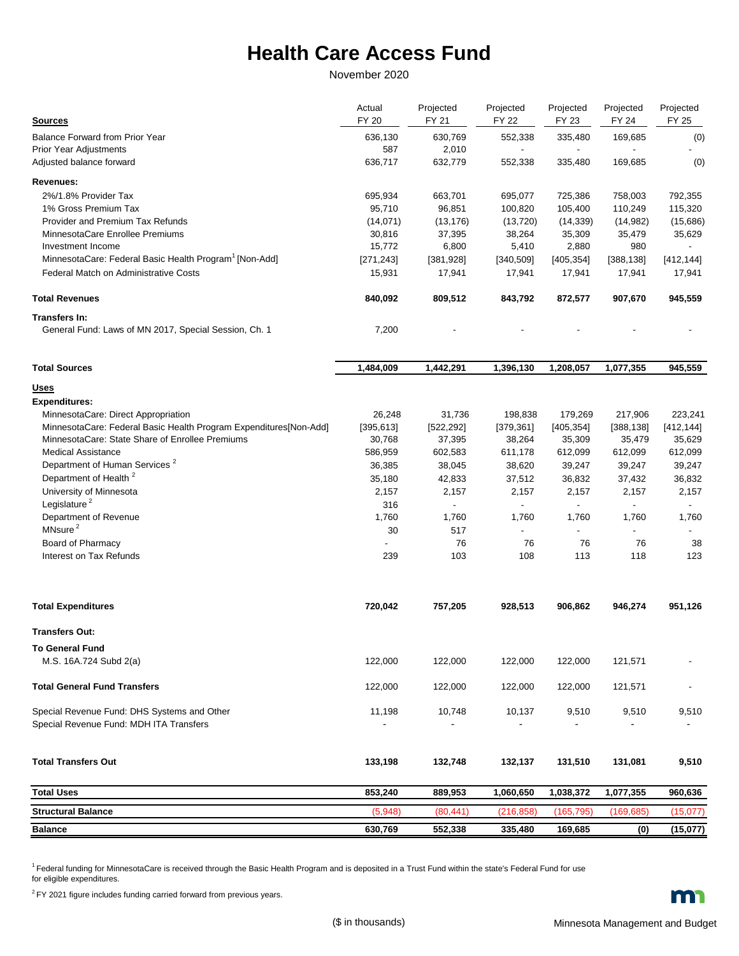## **Health Care Access Fund**

November 2020

| <b>Sources</b>                                                     | Actual<br><b>FY 20</b> | Projected<br><b>FY 21</b> | Projected<br><b>FY 22</b> | Projected<br>FY 23       | Projected<br>FY 24       | Projected<br>FY 25       |
|--------------------------------------------------------------------|------------------------|---------------------------|---------------------------|--------------------------|--------------------------|--------------------------|
| Balance Forward from Prior Year                                    | 636,130                | 630,769                   | 552,338                   | 335,480                  | 169,685                  | (0)                      |
| <b>Prior Year Adjustments</b>                                      | 587                    | 2,010                     | $\overline{\phantom{a}}$  | $\overline{\phantom{a}}$ |                          |                          |
| Adjusted balance forward                                           | 636,717                | 632,779                   | 552,338                   | 335,480                  | 169,685                  | (0)                      |
| Revenues:                                                          |                        |                           |                           |                          |                          |                          |
| 2%/1.8% Provider Tax                                               | 695,934                | 663,701                   | 695,077                   | 725,386                  | 758,003                  | 792,355                  |
| 1% Gross Premium Tax                                               | 95,710                 | 96,851                    | 100,820                   | 105,400                  | 110,249                  | 115,320                  |
| Provider and Premium Tax Refunds                                   | (14, 071)              | (13, 176)                 | (13, 720)                 | (14, 339)                | (14,982)                 | (15,686)                 |
| MinnesotaCare Enrollee Premiums                                    | 30,816                 | 37,395                    | 38,264                    | 35,309                   | 35,479                   | 35,629                   |
| Investment Income                                                  | 15,772                 | 6,800                     | 5,410                     | 2,880                    | 980                      |                          |
| MinnesotaCare: Federal Basic Health Program <sup>1</sup> [Non-Add] | [271, 243]             | [381,928]                 | [340, 509]                | [405, 354]               | [388, 138]               | [412, 144]               |
| <b>Federal Match on Administrative Costs</b>                       | 15,931                 | 17,941                    | 17,941                    | 17,941                   | 17,941                   | 17,941                   |
| <b>Total Revenues</b>                                              | 840,092                | 809,512                   | 843,792                   | 872,577                  | 907,670                  | 945,559                  |
| Transfers In:                                                      |                        |                           |                           |                          |                          |                          |
| General Fund: Laws of MN 2017, Special Session, Ch. 1              | 7,200                  |                           |                           |                          |                          |                          |
| <b>Total Sources</b>                                               | 1,484,009              | 1,442,291                 | 1,396,130                 | 1,208,057                | 1,077,355                | 945,559                  |
| <u>Uses</u>                                                        |                        |                           |                           |                          |                          |                          |
| <b>Expenditures:</b>                                               |                        |                           |                           |                          |                          |                          |
| MinnesotaCare: Direct Appropriation                                | 26,248                 | 31,736                    | 198,838                   | 179,269                  | 217,906                  | 223,241                  |
| MinnesotaCare: Federal Basic Health Program Expenditures[Non-Add]  | [395, 613]             | [522, 292]                | [379, 361]                | [405, 354]               | [388, 138]               | [412, 144]               |
| MinnesotaCare: State Share of Enrollee Premiums                    | 30,768                 | 37,395                    | 38,264                    | 35,309                   | 35,479                   | 35,629                   |
| <b>Medical Assistance</b>                                          | 586,959                | 602,583                   | 611,178                   | 612,099                  | 612,099                  | 612,099                  |
| Department of Human Services <sup>2</sup>                          | 36,385                 | 38,045                    | 38,620                    | 39,247                   | 39,247                   | 39,247                   |
| Department of Health <sup>2</sup>                                  | 35,180                 | 42,833                    | 37,512                    | 36,832                   | 37,432                   | 36,832                   |
| University of Minnesota                                            | 2,157                  | 2,157                     | 2,157                     | 2,157                    | 2,157                    | 2,157                    |
| Legislature <sup>2</sup>                                           | 316                    | $\overline{\phantom{a}}$  | $\blacksquare$            | $\overline{\phantom{a}}$ | $\overline{\phantom{a}}$ | $\overline{\phantom{a}}$ |
| Department of Revenue                                              | 1,760                  | 1,760                     | 1,760                     | 1,760                    | 1,760                    | 1,760                    |
| MNsure <sup>2</sup>                                                | 30                     | 517                       |                           |                          |                          |                          |
| Board of Pharmacy                                                  |                        | 76                        | 76                        | 76                       | 76                       | 38                       |
| Interest on Tax Refunds                                            | 239                    | 103                       | 108                       | 113                      | 118                      | 123                      |
| <b>Total Expenditures</b>                                          | 720,042                | 757,205                   | 928,513                   | 906,862                  | 946,274                  | 951,126                  |
| <b>Transfers Out:</b>                                              |                        |                           |                           |                          |                          |                          |
| <b>To General Fund</b>                                             |                        |                           |                           |                          |                          |                          |
| M.S. 16A.724 Subd 2(a)                                             | 122,000                | 122,000                   | 122,000                   | 122,000                  | 121,571                  |                          |
| <b>Total General Fund Transfers</b>                                | 122,000                | 122,000                   | 122,000                   | 122,000                  | 121,571                  |                          |
| Special Revenue Fund: DHS Systems and Other                        | 11,198                 | 10,748                    | 10,137                    | 9,510                    | 9,510                    | 9,510                    |
| Special Revenue Fund: MDH ITA Transfers                            |                        |                           |                           |                          |                          |                          |
| <b>Total Transfers Out</b>                                         | 133,198                | 132,748                   | 132,137                   | 131,510                  | 131,081                  | 9,510                    |
| <b>Total Uses</b>                                                  | 853,240                | 889,953                   | 1,060,650                 | 1,038,372                | 1,077,355                | 960,636                  |
| <b>Structural Balance</b>                                          | (5,948)                | (80, 441)                 | (216, 858)                | (165, 795)               | (169, 685)               | (15,077)                 |
| <b>Balance</b>                                                     | 630,769                | 552,338                   | 335,480                   | 169,685                  | (0)                      | (15,077)                 |

<sup>1</sup> Federal funding for MinnesotaCare is received through the Basic Health Program and is deposited in a Trust Fund within the state's Federal Fund for use for eligible expenditures.

 $2$  FY 2021 figure includes funding carried forward from previous years.

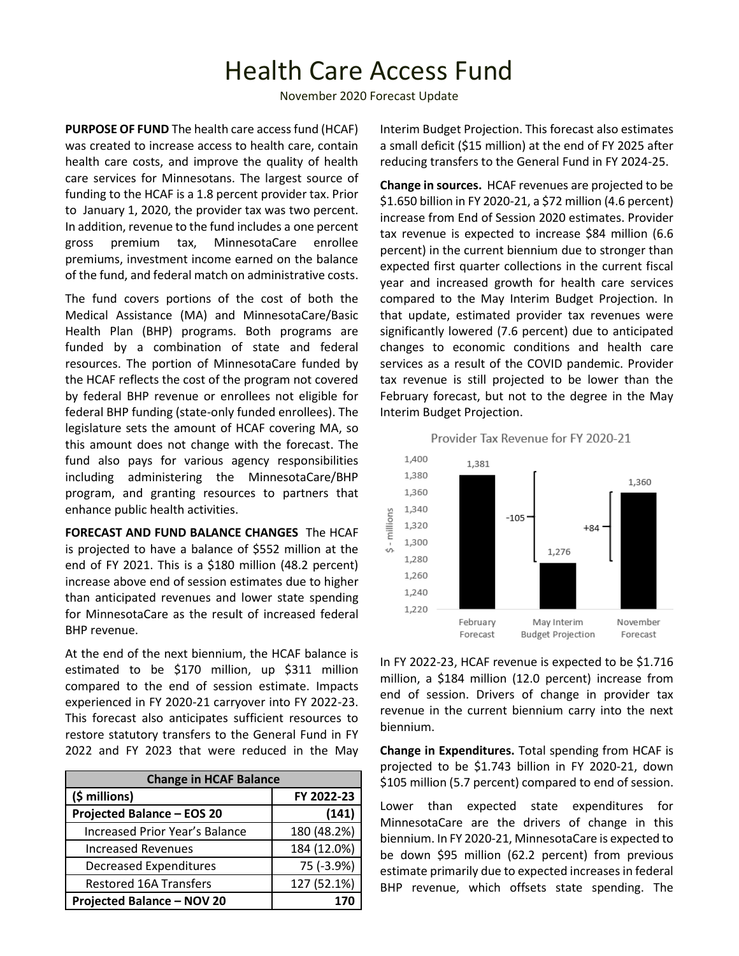# Health Care Access Fund

November 2020 Forecast Update

**PURPOSE OF FUND** The health care access fund (HCAF) was created to increase access to health care, contain health care costs, and improve the quality of health care services for Minnesotans. The largest source of funding to the HCAF is a 1.8 percent provider tax. Prior to January 1, 2020, the provider tax was two percent. In addition, revenue to the fund includes a one percent gross premium tax, MinnesotaCare enrollee premiums, investment income earned on the balance of the fund, and federal match on administrative costs.

The fund covers portions of the cost of both the Medical Assistance (MA) and MinnesotaCare/Basic Health Plan (BHP) programs. Both programs are funded by a combination of state and federal resources. The portion of MinnesotaCare funded by the HCAF reflects the cost of the program not covered by federal BHP revenue or enrollees not eligible for federal BHP funding (state-only funded enrollees). The legislature sets the amount of HCAF covering MA, so this amount does not change with the forecast. The fund also pays for various agency responsibilities including administering the MinnesotaCare/BHP program, and granting resources to partners that enhance public health activities.

**FORECAST AND FUND BALANCE CHANGES** The HCAF is projected to have a balance of \$552 million at the end of FY 2021. This is a \$180 million (48.2 percent) increase above end of session estimates due to higher than anticipated revenues and lower state spending for MinnesotaCare as the result of increased federal BHP revenue.

At the end of the next biennium, the HCAF balance is estimated to be \$170 million, up \$311 million compared to the end of session estimate. Impacts experienced in FY 2020-21 carryover into FY 2022-23. This forecast also anticipates sufficient resources to restore statutory transfers to the General Fund in FY 2022 and FY 2023 that were reduced in the May

| <b>Change in HCAF Balance</b>         |             |  |  |  |  |
|---------------------------------------|-------------|--|--|--|--|
| (\$ millions)                         | FY 2022-23  |  |  |  |  |
| <b>Projected Balance - EOS 20</b>     | (141)       |  |  |  |  |
| <b>Increased Prior Year's Balance</b> | 180 (48.2%) |  |  |  |  |
| <b>Increased Revenues</b>             | 184 (12.0%) |  |  |  |  |
| <b>Decreased Expenditures</b>         | 75 (-3.9%)  |  |  |  |  |
| <b>Restored 16A Transfers</b>         | 127 (52.1%) |  |  |  |  |
| <b>Projected Balance - NOV 20</b>     |             |  |  |  |  |

Interim Budget Projection. This forecast also estimates a small deficit (\$15 million) at the end of FY 2025 after reducing transfers to the General Fund in FY 2024-25.

**Change in sources.** HCAF revenues are projected to be \$1.650 billion in FY 2020-21, a \$72 million (4.6 percent) increase from End of Session 2020 estimates. Provider tax revenue is expected to increase \$84 million (6.6 percent) in the current biennium due to stronger than expected first quarter collections in the current fiscal year and increased growth for health care services compared to the May Interim Budget Projection. In that update, estimated provider tax revenues were significantly lowered (7.6 percent) due to anticipated changes to economic conditions and health care services as a result of the COVID pandemic. Provider tax revenue is still projected to be lower than the February forecast, but not to the degree in the May Interim Budget Projection.





In FY 2022-23, HCAF revenue is expected to be \$1.716 million, a \$184 million (12.0 percent) increase from end of session. Drivers of change in provider tax revenue in the current biennium carry into the next biennium.

**Change in Expenditures.** Total spending from HCAF is projected to be \$1.743 billion in FY 2020-21, down \$105 million (5.7 percent) compared to end of session.

Lower than expected state expenditures for MinnesotaCare are the drivers of change in this biennium. In FY 2020-21, MinnesotaCare is expected to be down \$95 million (62.2 percent) from previous estimate primarily due to expected increases in federal BHP revenue, which offsets state spending. The